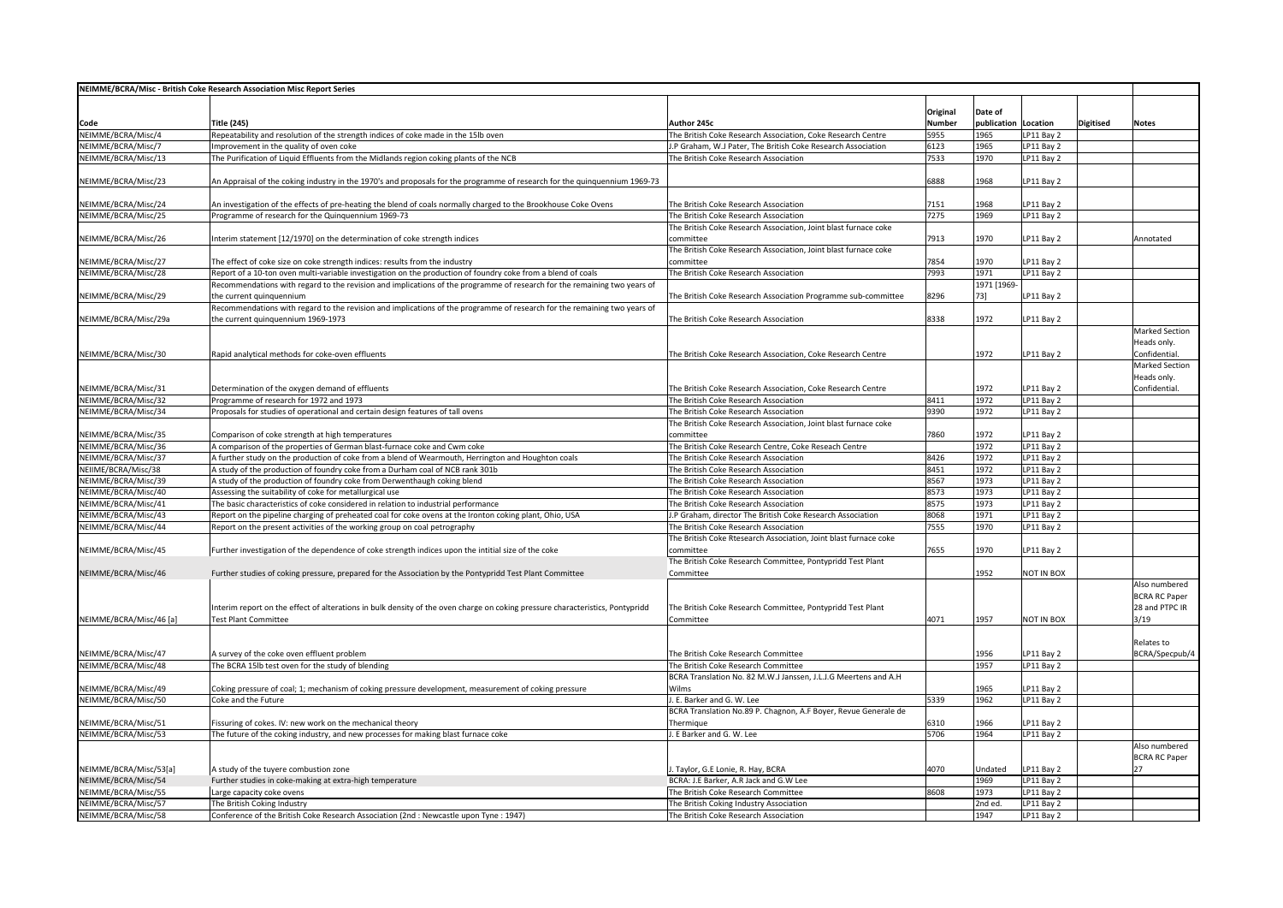| NEIMME/BCRA/Misc - British Coke Research Association Misc Report Series |                                                                                                                                                              |                                                                         |                    |                        |                   |                  |                        |  |  |
|-------------------------------------------------------------------------|--------------------------------------------------------------------------------------------------------------------------------------------------------------|-------------------------------------------------------------------------|--------------------|------------------------|-------------------|------------------|------------------------|--|--|
|                                                                         |                                                                                                                                                              |                                                                         |                    |                        |                   |                  |                        |  |  |
|                                                                         |                                                                                                                                                              | Author 245c                                                             | Original<br>Number | Date of<br>publication | Location          | <b>Digitised</b> | <b>Notes</b>           |  |  |
| Code<br>NEIMME/BCRA/Misc/4                                              | <b>Title (245)</b><br>Repeatability and resolution of the strength indices of coke made in the 15lb oven                                                     | The British Coke Research Association, Coke Research Centre             | 5955               | 1965                   | LP11 Bay 2        |                  |                        |  |  |
| NEIMME/BCRA/Misc/7                                                      | Improvement in the quality of oven coke                                                                                                                      | J.P Graham, W.J Pater, The British Coke Research Association            | 6123               | 1965                   | LP11 Bay 2        |                  |                        |  |  |
| NEIMME/BCRA/Misc/13                                                     | The Purification of Liquid Effluents from the Midlands region coking plants of the NCB                                                                       | The British Coke Research Association                                   | 7533               | 1970                   | LP11 Bay 2        |                  |                        |  |  |
|                                                                         |                                                                                                                                                              |                                                                         |                    |                        |                   |                  |                        |  |  |
| NEIMME/BCRA/Misc/23                                                     | An Appraisal of the coking industry in the 1970's and proposals for the programme of research for the quinquennium 1969-73                                   |                                                                         | 6888               | 1968                   | LP11 Bay 2        |                  |                        |  |  |
|                                                                         |                                                                                                                                                              |                                                                         |                    |                        |                   |                  |                        |  |  |
| NEIMME/BCRA/Misc/24                                                     | An investigation of the effects of pre-heating the blend of coals normally charged to the Brookhouse Coke Ovens                                              | The British Coke Research Association                                   | 7151               | 1968                   | LP11 Bay 2        |                  |                        |  |  |
| NEIMME/BCRA/Misc/25                                                     | Programme of research for the Quinquennium 1969-73                                                                                                           | The British Coke Research Association                                   | 7275               | 1969                   | LP11 Bay 2        |                  |                        |  |  |
|                                                                         |                                                                                                                                                              | The British Coke Research Association, Joint blast furnace coke         |                    |                        |                   |                  |                        |  |  |
| NEIMME/BCRA/Misc/26                                                     | Interim statement [12/1970] on the determination of coke strength indices                                                                                    | committee                                                               | 7913               | 1970                   | LP11 Bay 2        |                  | Annotated              |  |  |
|                                                                         |                                                                                                                                                              | The British Coke Research Association, Joint blast furnace coke         |                    |                        |                   |                  |                        |  |  |
| NEIMME/BCRA/Misc/27                                                     | The effect of coke size on coke strength indices: results from the industry                                                                                  | committee                                                               | 7854               | 1970                   | LP11 Bay 2        |                  |                        |  |  |
| NEIMME/BCRA/Misc/28                                                     | Report of a 10-ton oven multi-variable investigation on the production of foundry coke from a blend of coals                                                 | The British Coke Research Association                                   | 7993               | 1971                   | LP11 Bay 2        |                  |                        |  |  |
|                                                                         | Recommendations with regard to the revision and implications of the programme of research for the remaining two years of                                     |                                                                         |                    | 1971 [1969-            |                   |                  |                        |  |  |
| NEIMME/BCRA/Misc/29                                                     | the current quinquennium                                                                                                                                     | The British Coke Research Association Programme sub-committee           | 8296               | 73]                    | LP11 Bay 2        |                  |                        |  |  |
|                                                                         | Recommendations with regard to the revision and implications of the programme of research for the remaining two years of                                     |                                                                         |                    |                        |                   |                  |                        |  |  |
| NEIMME/BCRA/Misc/29a                                                    | the current quinquennium 1969-1973                                                                                                                           | The British Coke Research Association                                   | 8338               | 1972                   | LP11 Bay 2        |                  |                        |  |  |
|                                                                         |                                                                                                                                                              |                                                                         |                    |                        |                   |                  | <b>Marked Section</b>  |  |  |
|                                                                         |                                                                                                                                                              |                                                                         |                    |                        |                   |                  | Heads only.            |  |  |
| NEIMME/BCRA/Misc/30                                                     | Rapid analytical methods for coke-oven effluents                                                                                                             | The British Coke Research Association, Coke Research Centre             |                    | 1972                   | LP11 Bay 2        |                  | Confidential.          |  |  |
|                                                                         |                                                                                                                                                              |                                                                         |                    |                        |                   |                  | Marked Section         |  |  |
|                                                                         |                                                                                                                                                              |                                                                         |                    |                        |                   |                  | Heads only.            |  |  |
| NEIMME/BCRA/Misc/31                                                     | Determination of the oxygen demand of effluents                                                                                                              | The British Coke Research Association, Coke Research Centre             |                    | 1972                   | LP11 Bay 2        |                  | Confidential.          |  |  |
| NEIMME/BCRA/Misc/32                                                     | Programme of research for 1972 and 1973                                                                                                                      | The British Coke Research Association                                   | 8411               | 1972                   | LP11 Bay 2        |                  |                        |  |  |
| NEIMME/BCRA/Misc/34                                                     | Proposals for studies of operational and certain design features of tall ovens                                                                               | The British Coke Research Association                                   | 9390               | 1972                   | LP11 Bay 2        |                  |                        |  |  |
|                                                                         |                                                                                                                                                              | The British Coke Research Association, Joint blast furnace coke         |                    |                        |                   |                  |                        |  |  |
| NEIMME/BCRA/Misc/35                                                     | Comparison of coke strength at high temperatures                                                                                                             | committee                                                               | 7860               | 1972                   | LP11 Bay 2        |                  |                        |  |  |
| NEIMME/BCRA/Misc/36                                                     | A comparison of the properties of German blast-furnace coke and Cwm coke                                                                                     | The British Coke Research Centre, Coke Reseach Centre                   |                    | 1972                   | LP11 Bay 2        |                  |                        |  |  |
| NEIMME/BCRA/Misc/37                                                     | A further study on the production of coke from a blend of Wearmouth, Herrington and Houghton coals                                                           | The British Coke Research Association                                   | 8426               | 1972                   | LP11 Bay 2        |                  |                        |  |  |
| NEIIME/BCRA/Misc/38                                                     | A study of the production of foundry coke from a Durham coal of NCB rank 301b                                                                                | The British Coke Research Association                                   | 8451               | 1972                   | LP11 Bay 2        |                  |                        |  |  |
| NEIMME/BCRA/Misc/39                                                     | A study of the production of foundry coke from Derwenthaugh coking blend                                                                                     | The British Coke Research Association                                   | 8567               | 1973                   | LP11 Bay 2        |                  |                        |  |  |
| NEIMME/BCRA/Misc/40                                                     | Assessing the suitability of coke for metallurgical use                                                                                                      | The British Coke Research Association                                   | 8573               | 1973                   | LP11 Bay 2        |                  |                        |  |  |
| NEIMME/BCRA/Misc/41                                                     | The basic characteristics of coke considered in relation to industrial performance                                                                           | The British Coke Research Association                                   | 8575               | 1973                   | LP11 Bay 2        |                  |                        |  |  |
| NEIMME/BCRA/Misc/43                                                     | Report on the pipeline charging of preheated coal for coke ovens at the Ironton coking plant, Ohio, USA                                                      | J.P Graham, director The British Coke Research Association              | 8068               | 1971                   | LP11 Bay 2        |                  |                        |  |  |
| NEIMME/BCRA/Misc/44                                                     | Report on the present activities of the working group on coal petrography                                                                                    | The British Coke Research Association                                   | 7555               | 1970                   | LP11 Bay 2        |                  |                        |  |  |
|                                                                         |                                                                                                                                                              | The British Coke Rtesearch Association, Joint blast furnace coke        |                    |                        |                   |                  |                        |  |  |
| NEIMME/BCRA/Misc/45                                                     | Further investigation of the dependence of coke strength indices upon the intitial size of the coke                                                          | committee                                                               | 7655               | 1970                   | LP11 Bay 2        |                  |                        |  |  |
|                                                                         |                                                                                                                                                              | The British Coke Research Committee, Pontypridd Test Plant              |                    |                        |                   |                  |                        |  |  |
| NEIMME/BCRA/Misc/46                                                     | Further studies of coking pressure, prepared for the Association by the Pontypridd Test Plant Committee                                                      | Committee                                                               |                    | 1952                   | NOT IN BOX        |                  |                        |  |  |
|                                                                         |                                                                                                                                                              |                                                                         |                    |                        |                   |                  | Also numbered          |  |  |
|                                                                         |                                                                                                                                                              |                                                                         |                    |                        |                   |                  | <b>BCRA RC Paper</b>   |  |  |
| NEIMME/BCRA/Misc/46 [a]                                                 | Interim report on the effect of alterations in bulk density of the oven charge on coking pressure characteristics, Pontypridd<br><b>Test Plant Committee</b> | The British Coke Research Committee, Pontypridd Test Plant<br>Committee | 4071               | 1957                   | <b>NOT IN BOX</b> |                  | 28 and PTPC IR<br>3/19 |  |  |
|                                                                         |                                                                                                                                                              |                                                                         |                    |                        |                   |                  |                        |  |  |
|                                                                         |                                                                                                                                                              |                                                                         |                    |                        |                   |                  | Relates to             |  |  |
| NEIMME/BCRA/Misc/47                                                     | A survey of the coke oven effluent problem                                                                                                                   | The British Coke Research Committee                                     |                    | 1956                   | LP11 Bay 2        |                  | BCRA/Specpub/4         |  |  |
| NEIMME/BCRA/Misc/48                                                     | The BCRA 15lb test oven for the study of blending                                                                                                            | The British Coke Research Committee                                     |                    | 1957                   | LP11 Bay 2        |                  |                        |  |  |
|                                                                         |                                                                                                                                                              | BCRA Translation No. 82 M.W.J Janssen, J.L.J.G Meertens and A.H         |                    |                        |                   |                  |                        |  |  |
| NEIMME/BCRA/Misc/49                                                     | Coking pressure of coal; 1; mechanism of coking pressure development, measurement of coking pressure                                                         | Wilms                                                                   |                    | 1965                   | LP11 Bay 2        |                  |                        |  |  |
| NEIMME/BCRA/Misc/50                                                     | Coke and the Future                                                                                                                                          | J. E. Barker and G. W. Lee                                              | 5339               | 1962                   | LP11 Bay 2        |                  |                        |  |  |
|                                                                         |                                                                                                                                                              | BCRA Translation No.89 P. Chagnon, A.F Boyer, Revue Generale de         |                    |                        |                   |                  |                        |  |  |
| NEIMME/BCRA/Misc/51                                                     | Fissuring of cokes. IV: new work on the mechanical theory                                                                                                    | Thermique                                                               | 6310               | 1966                   | LP11 Bay 2        |                  |                        |  |  |
| NEIMME/BCRA/Misc/53                                                     | The future of the coking industry, and new processes for making blast furnace coke                                                                           | J. E Barker and G. W. Lee                                               | 5706               | 1964                   | LP11 Bay 2        |                  |                        |  |  |
|                                                                         |                                                                                                                                                              |                                                                         |                    |                        |                   |                  | Also numbered          |  |  |
|                                                                         |                                                                                                                                                              |                                                                         |                    |                        |                   |                  | <b>BCRA RC Paper</b>   |  |  |
| NEIMME/BCRA/Misc/53[a]                                                  | A study of the tuyere combustion zone                                                                                                                        | . Tavlor, G.E Lonie, R. Hav. BCRA                                       | 4070               | Undated                | LP11 Bay 2        |                  | 27                     |  |  |
| NEIMME/BCRA/Misc/54                                                     | Further studies in coke-making at extra-high temperature                                                                                                     | BCRA: J.E Barker, A.R Jack and G.W Lee                                  |                    | 1969                   | LP11 Bay 2        |                  |                        |  |  |
| NEIMME/BCRA/Misc/55                                                     | Large capacity coke ovens                                                                                                                                    | The British Coke Research Committee                                     | 8608               | 1973                   | LP11 Bay 2        |                  |                        |  |  |
| NEIMME/BCRA/Misc/57                                                     | The British Coking Industry                                                                                                                                  | The British Coking Industry Association                                 |                    | 2nd ed.                | LP11 Bay 2        |                  |                        |  |  |
| NEIMME/BCRA/Misc/58                                                     | Conference of the British Coke Research Association (2nd : Newcastle upon Tyne : 1947)                                                                       | The British Coke Research Association                                   |                    | 1947                   | LP11 Bay 2        |                  |                        |  |  |